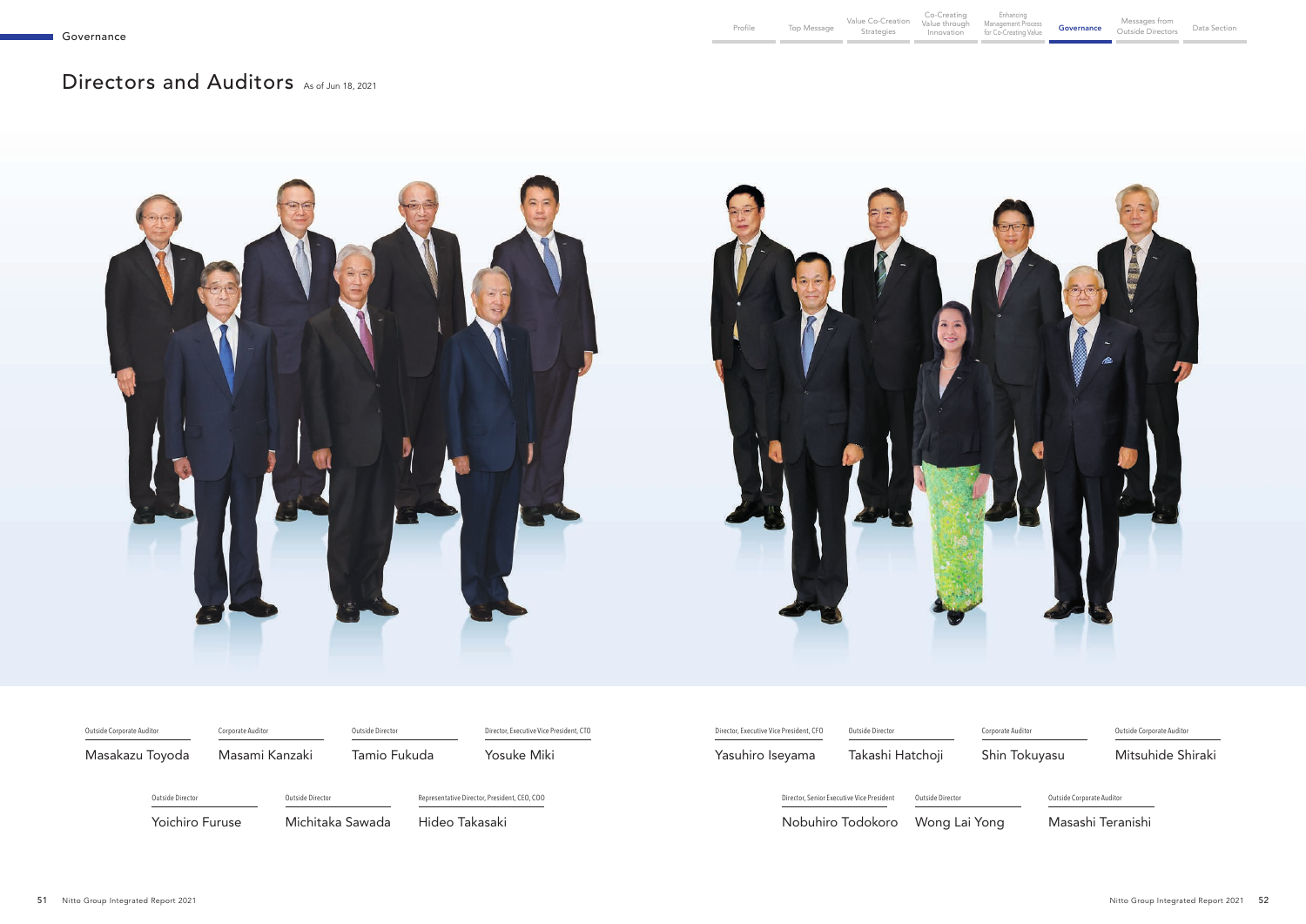Enhancing Management Process **Governance Messages from Standight Standight Standight Standight Standight Standight Standight**<br>for Co-Creating Value **Governance** Outside Director

# <span id="page-0-0"></span>Directors and Auditors As of Jun 18, 2021



| Outside Corporate Auditor | Corporate Auditor | Outside Director |                | Director, Executive Vice President, CTO      | Director, Executive Vice President, CFO | Outside Director                          |                  | Corporate |
|---------------------------|-------------------|------------------|----------------|----------------------------------------------|-----------------------------------------|-------------------------------------------|------------------|-----------|
| Masakazu Toyoda           | Masami Kanzaki    | Tamio Fukuda     |                | Yosuke Miki                                  | Yasuhiro Iseyama                        | Takashi Hatchoji                          |                  | Shin      |
| Outside Director          | Outside Director  |                  |                | Representative Director, President, CEO, COO |                                         | Director, Senior Executive Vice President | Outside Director |           |
| <b>Yoichiro Furuse</b>    |                   | Michitaka Sawada | Hideo Takasaki |                                              |                                         | Nobuhiro Todokoro                         | Wong Lai Yong    |           |

Outside Corporate Auditor

1 Tokuyasu

Mitsuhide Shiraki

Outside Corporate Auditor

Masashi Teranishi

Outside Directors Data Section

orate Auditor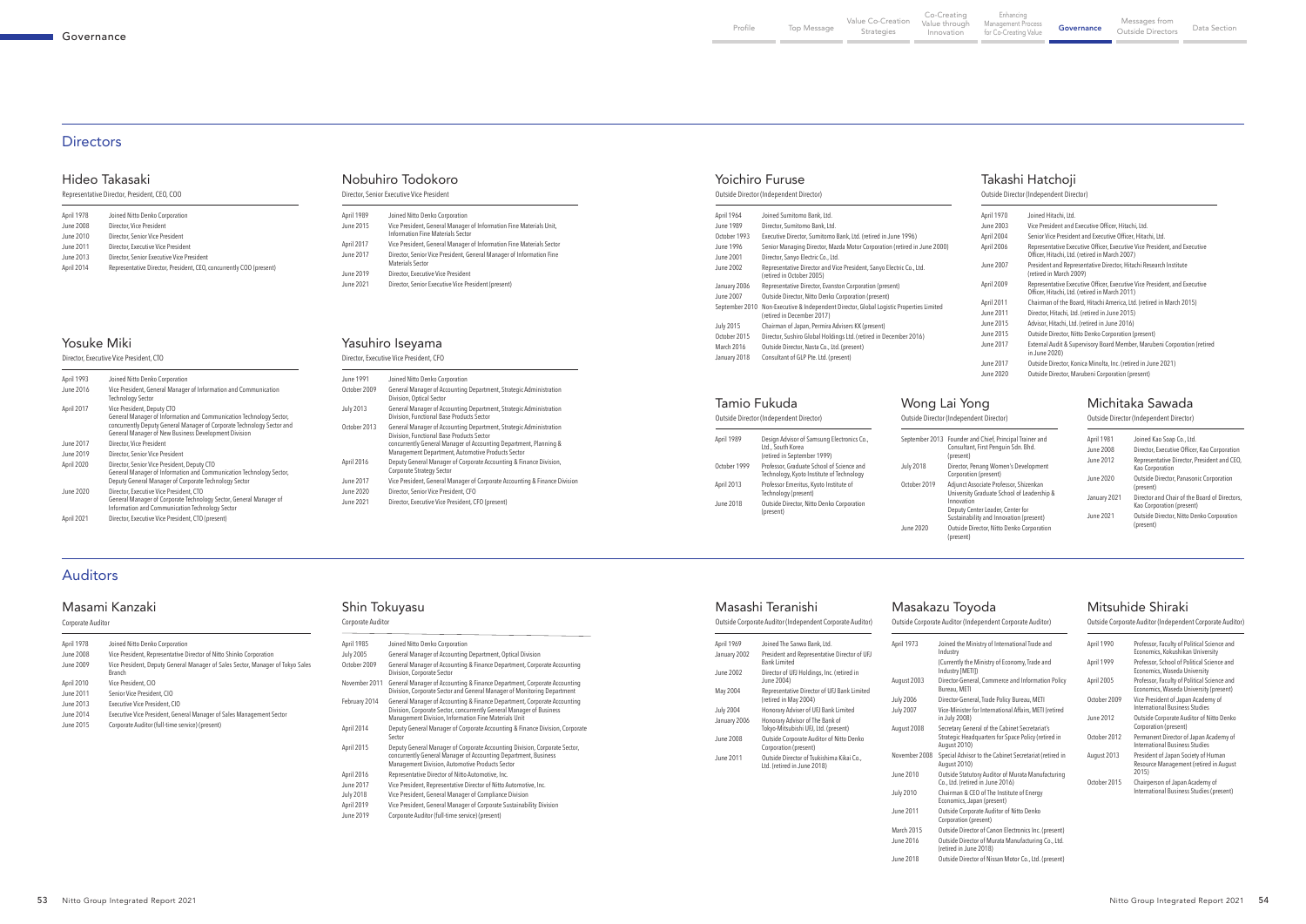| April 1978 | Joined Nitto Denko Corporation                                      |
|------------|---------------------------------------------------------------------|
| June 2008  | Director, Vice President                                            |
| June 2010  | Director, Senior Vice President                                     |
| June 2011  | Director, Executive Vice President                                  |
| June 2013  | Director, Senior Executive Vice President                           |
| April 2014 | Representative Director, President, CEO, concurrently COO (present) |

Representative Director, President, CEO, COO

### Hideo Takasaki

| April 1989<br>June 2015 | Joined Nitto Denko Corporation<br>Vice President, General Manager of Information Fine Materials Unit,<br>Information Fine Materials Sector |
|-------------------------|--------------------------------------------------------------------------------------------------------------------------------------------|
| April 2017              | Vice President, General Manager of Information Fine Materials Sector                                                                       |
| June 2017               | Director, Senior Vice President, General Manager of Information Fine<br>Materials Sector                                                   |
| June 2019               | Director, Executive Vice President                                                                                                         |
| June 2021               | Director, Senior Executive Vice President (present)                                                                                        |

Director, Senior Executive Vice President

## Nobuhiro Todokoro

| April 1993 | Joined Nitto Denko Corporation                                                                                                                                                                                                      |
|------------|-------------------------------------------------------------------------------------------------------------------------------------------------------------------------------------------------------------------------------------|
| June 2016  | Vice President, General Manager of Information and Communication<br><b>Technology Sector</b>                                                                                                                                        |
| April 2017 | Vice President, Deputy CTO<br>General Manager of Information and Communication Technology Sector,<br>concurrently Deputy General Manager of Corporate Technology Sector and<br>General Manager of New Business Development Division |
| June 2017  | Director, Vice President                                                                                                                                                                                                            |
| June 2019  | Director, Senior Vice President                                                                                                                                                                                                     |
| April 2020 | Director, Senior Vice President, Deputy CTO<br>General Manager of Information and Communication Technology Sector,<br>Deputy General Manager of Corporate Technology Sector                                                         |
| June 2020  | Director, Executive Vice President, CTO<br>General Manager of Corporate Technology Sector, General Manager of<br>Information and Communication Technology Sector                                                                    |
| April 2021 | Director, Executive Vice President, CTO (present)                                                                                                                                                                                   |

Director, Executive Vice President, CTO

### Yosuke Miki

| April 1978 | Joined Nitto Denko Corporation                                                           |
|------------|------------------------------------------------------------------------------------------|
| June 2008  | Vice President, Representative Director of Nitto Shinko Corporation                      |
| June 2009  | Vice President, Deputy General Manager of Sales Sector, Manager of Tokyo Sales<br>Branch |
| April 2010 | Vice President, CIO                                                                      |
| June 2011  | Senior Vice President, CIO                                                               |
| June 2013  | Executive Vice President, CIO                                                            |
| June 2014  | Executive Vice President, General Manager of Sales Management Sector                     |
| June 2015  | Corporate Auditor (full-time service) (present)                                          |

#### Corporate Auditor

#### Masami Kanzaki

| April 1969       | Joined The Sanwa Bank, Ltd.                                              |
|------------------|--------------------------------------------------------------------------|
| January 2002     | President and Representative Director of UFJ<br><b>Bank Limited</b>      |
| June 2002        | Director of UFJ Holdings, Inc. (retired in<br>June 2004)                 |
| May 2004         | Representative Director of UFJ Bank Limited<br>(retired in May 2004)     |
| <b>July 2004</b> | Honorary Adviser of UFJ Bank Limited                                     |
| January 2006     | Honorary Advisor of The Bank of<br>Tokyo-Mitsubishi UFJ, Ltd. (present)  |
| June 2008        | Outside Corporate Auditor of Nitto Denko<br>Corporation (present)        |
| June 2011        | Outside Director of Tsukishima Kikai Co.,<br>Ltd. (retired in June 2018) |

# Masashi Teranishi

|                                      | Outside Corporate Auditor (Independent Corporate Auditor)                                             | Outside Corporate Auditor (Independent Corporate Auditor) |                                                                                       |  |
|--------------------------------------|-------------------------------------------------------------------------------------------------------|-----------------------------------------------------------|---------------------------------------------------------------------------------------|--|
| April 1973                           | Joined the Ministry of International Trade and<br>Industry                                            | April 1990                                                | Professor, Faculty of Political Science and<br>Economics, Kokushikan University       |  |
|                                      | (Currently the Ministry of Economy, Trade and<br>Industry [METI])                                     | April 1999                                                | Professor, School of Political Science and<br>Economics, Waseda University            |  |
| August 2003                          | Director-General, Commerce and Information Policy<br>Bureau, METI                                     | April 2005                                                | Professor, Faculty of Political Science and<br>Economics, Waseda University (present) |  |
| <b>July 2006</b><br><b>July 2007</b> | Director-General, Trade Policy Bureau, METI<br>Vice-Minister for International Affairs, METI (retired | October 2009                                              | Vice President of Japan Academy of<br><b>International Business Studies</b>           |  |
| August 2008                          | in July 2008)<br>Secretary General of the Cabinet Secretariat's                                       | June 2012                                                 | Outside Corporate Auditor of Nitto Denko<br>Corporation (present)                     |  |
|                                      | Strategic Headquarters for Space Policy (retired in<br><b>August 2010)</b>                            | October 2012                                              | Permanent Director of Japan Academy of<br><b>International Business Studies</b>       |  |
| November 2008                        | Special Advisor to the Cabinet Secretariat (retired in<br>August 2010)                                | August 2013                                               | President of Japan Society of Human<br>Resource Management (retired in August         |  |
| June 2010                            | Outside Statutory Auditor of Murata Manufacturing<br>Co., Ltd. (retired in June 2016)                 | October 2015                                              | 2015)<br>Chairperson of Japan Academy of                                              |  |
| <b>July 2010</b>                     | Chairman & CEO of The Institute of Energy<br>Economics, Japan (present)                               |                                                           | International Business Studies (present)                                              |  |
| June 2011                            | Outside Corporate Auditor of Nitto Denko<br>Corporation (present)                                     |                                                           |                                                                                       |  |
| March 2015                           | Outside Director of Canon Electronics Inc. (present)                                                  |                                                           |                                                                                       |  |
| June 2016                            | Outside Director of Murata Manufacturing Co., Ltd.<br>(retired in June 2018)                          |                                                           |                                                                                       |  |
| June 2018                            | Outside Director of Nissan Motor Co., Ltd. (present)                                                  |                                                           |                                                                                       |  |

# Masakazu Toyoda

# Mitsuhide Shiraki

# April 1985 Joined Nitto Denko Corporation Corporate Auditor

| <b>July 2005</b> | General Manager of Accounting Department, Optical Division                                                                                                                                               |
|------------------|----------------------------------------------------------------------------------------------------------------------------------------------------------------------------------------------------------|
| October 2009     | General Manager of Accounting & Finance Department, Corporate Accounting<br>Division, Corporate Sector                                                                                                   |
| November 2011    | General Manager of Accounting & Finance Department, Corporate Accounting<br>Division, Corporate Sector and General Manager of Monitoring Department                                                      |
| February 2014    | General Manager of Accounting & Finance Department, Corporate Accounting<br>Division, Corporate Sector, concurrently General Manager of Business<br>Management Division, Information Fine Materials Unit |
| April 2014       | Deputy General Manager of Corporate Accounting & Finance Division, Corporate<br>Sector                                                                                                                   |
| April 2015       | Deputy General Manager of Corporate Accounting Division, Corporate Sector,<br>concurrently General Manager of Accounting Department, Business<br>Management Division, Automotive Products Sector         |
| April 2016       | Representative Director of Nitto Automotive, Inc.                                                                                                                                                        |
| June 2017        | Vice President, Representative Director of Nitto Automotive, Inc.                                                                                                                                        |
| <b>July 2018</b> | Vice President, General Manager of Compliance Division                                                                                                                                                   |
| April 2019       | Vice President, General Manager of Corporate Sustainability Division                                                                                                                                     |
| June 2019        | Corporate Auditor (full-time service) (present)                                                                                                                                                          |

## Shin Tokuyasu

| June 1991    | Joined Nitto Denko Corporation                                                                                                                                                                                                            |
|--------------|-------------------------------------------------------------------------------------------------------------------------------------------------------------------------------------------------------------------------------------------|
| October 2009 | General Manager of Accounting Department, Strategic Administration<br>Division, Optical Sector                                                                                                                                            |
| July 2013    | General Manager of Accounting Department, Strategic Administration<br>Division, Functional Base Products Sector                                                                                                                           |
| October 2013 | General Manager of Accounting Department, Strategic Administration<br>Division, Functional Base Products Sector<br>concurrently General Manager of Accounting Department, Planning &<br>Management Department, Automotive Products Sector |
| April 2016   | Deputy General Manager of Corporate Accounting & Finance Division,<br><b>Corporate Strategy Sector</b>                                                                                                                                    |
| June 2017    | Vice President, General Manager of Corporate Accounting & Finance Division                                                                                                                                                                |
| June 2020    | Director, Senior Vice President, CFO                                                                                                                                                                                                      |
| June 2021    | Director, Executive Vice President, CFO (present)                                                                                                                                                                                         |
|              |                                                                                                                                                                                                                                           |

Director, Executive Vice President, CFO

### Yasuhiro Iseyama

# Auditors

#### Outside Director (Independent Director) Yoichiro Furuse

| April 1964                                                       | Joined Sumitomo Bank, Ltd.                                                                        | April 1970 | Joined Hitachi, Ltd.                                                                         |
|------------------------------------------------------------------|---------------------------------------------------------------------------------------------------|------------|----------------------------------------------------------------------------------------------|
| June 1989                                                        | Director, Sumitomo Bank, Ltd.                                                                     | June 2003  | Vice President and Executive Officer, Hitachi, Ltd.                                          |
| October 1993                                                     | Executive Director, Sumitomo Bank, Ltd. (retired in June 1996)                                    | April 2004 | Senior Vice President and Executive Officer, Hitachi, Ltd.                                   |
| June 1996                                                        | Senior Managing Director, Mazda Motor Corporation (retired in June 2000)                          | April 2006 | Representative Executive Officer, Executive Vice President, and Executive                    |
| June 2001                                                        | Director, Sanyo Electric Co., Ltd.                                                                |            | Officer, Hitachi, Ltd. (retired in March 2007)                                               |
| June 2002                                                        | Representative Director and Vice President, Sanyo Electric Co., Ltd.<br>(retired in October 2005) | June 2007  | President and Representative Director, Hitachi Research Institute<br>(retired in March 2009) |
| January 2006                                                     | Representative Director, Evanston Corporation (present)                                           | April 2009 | Representative Executive Officer, Executive Vice President, and Executive                    |
| Outside Director, Nitto Denko Corporation (present)<br>June 2007 |                                                                                                   |            | Officer, Hitachi, Ltd. (retired in March 2011)                                               |
| September 2010                                                   | Non-Executive & Independent Director, Global Logistic Properties Limited                          | April 2011 | Chairman of the Board, Hitachi America, Ltd. (retired in March 2015)                         |
|                                                                  | (retired in December 2017)                                                                        | June 2011  | Director, Hitachi, Ltd. (retired in June 2015)                                               |
| July 2015                                                        | Chairman of Japan, Permira Advisers KK (present)                                                  | June 2015  | Advisor, Hitachi, Ltd. (retired in June 2016)                                                |
| October 2015                                                     | Director, Sushiro Global Holdings Ltd. (retired in December 2016)                                 | June 2015  | Outside Director, Nitto Denko Corporation (present)                                          |
| March 2016                                                       | Outside Director, Nasta Co., Ltd. (present)                                                       | June 2017  | External Audit & Supervisory Board Member, Marubeni Corporation (retired                     |
| January 2018                                                     | Consultant of GLP Pte. Ltd. (present)                                                             |            | in June 2020)                                                                                |
|                                                                  |                                                                                                   | June 2017  | Outside Director, Konica Minolta, Inc. (retired in June 2021)                                |
|                                                                  |                                                                                                   | June 2020  | Outside Director, Marubeni Corporation (present)                                             |
|                                                                  |                                                                                                   |            |                                                                                              |

Outside Director (Independent Director)

# Takashi Hatchoji

April 1989 Design Advisor of Samsung Electronics Co., Ltd., South Korea (retired in September October 1999 Professor, Graduate Trotessor, Graduate April 2013 Professor Emeritus, Kyoto Institute of Technology (present) Outside Director (Independent Director)

# Outside

## Tamio Fukuda

| April 1989   | Design Advisor of Samsung Electronics Co.,<br>Ltd., South Korea<br>(retired in September 1999) |                  | September 2013 Founder and Chie<br>Consultant, First F<br>(present) |
|--------------|------------------------------------------------------------------------------------------------|------------------|---------------------------------------------------------------------|
| October 1999 | Professor, Graduate School of Science and<br>Technology, Kyoto Institute of Technology         | <b>July 2018</b> | Director, Penang \<br>Corporation (pres                             |
| April 2013   | Professor Emeritus, Kyoto Institute of<br>Technology (present)                                 | October 2019     | Adjunct Associate<br>University Gradua                              |
| June 2018    | Outside Director, Nitto Denko Corporation<br>(present)                                         |                  | Innovation<br>Deputy Center Lea<br>Sustainability and               |
|              |                                                                                                | June 2020        | Outside Director                                                    |

(present)

| r and Chief, Principal Trainer and                                      | April 1981       | Joined Kao Soap Co., Ltd.                                                  |  |  |
|-------------------------------------------------------------------------|------------------|----------------------------------------------------------------------------|--|--|
| ant, First Penguin Sdn. Bhd.                                            | <b>June 2008</b> | Director, Executive Officer, Kao Corporation                               |  |  |
| t).<br>, Penang Women's Development                                     | June 2012        | Representative Director, President and CEO,<br>Kao Corporation             |  |  |
| tion (present)<br>Associate Professor, Shizenkan                        | June 2020        | Outside Director, Panasonic Corporation<br>(present)                       |  |  |
| ity Graduate School of Leadership &<br>ion<br>Center Leader, Center for | January 2021     | Director and Chair of the Board of Directors,<br>Kao Corporation (present) |  |  |
| ability and Innovation (present)                                        | June 2021        | Outside Director, Nitto Denko Corporation                                  |  |  |
| Director, Nitto Denko Corporation<br>۰N                                 |                  | (present)                                                                  |  |  |

Outside Director (Independent Director)

# Wong Lai Yong

Outside Director (Independent Director) Michitaka Sawada

## **Directors**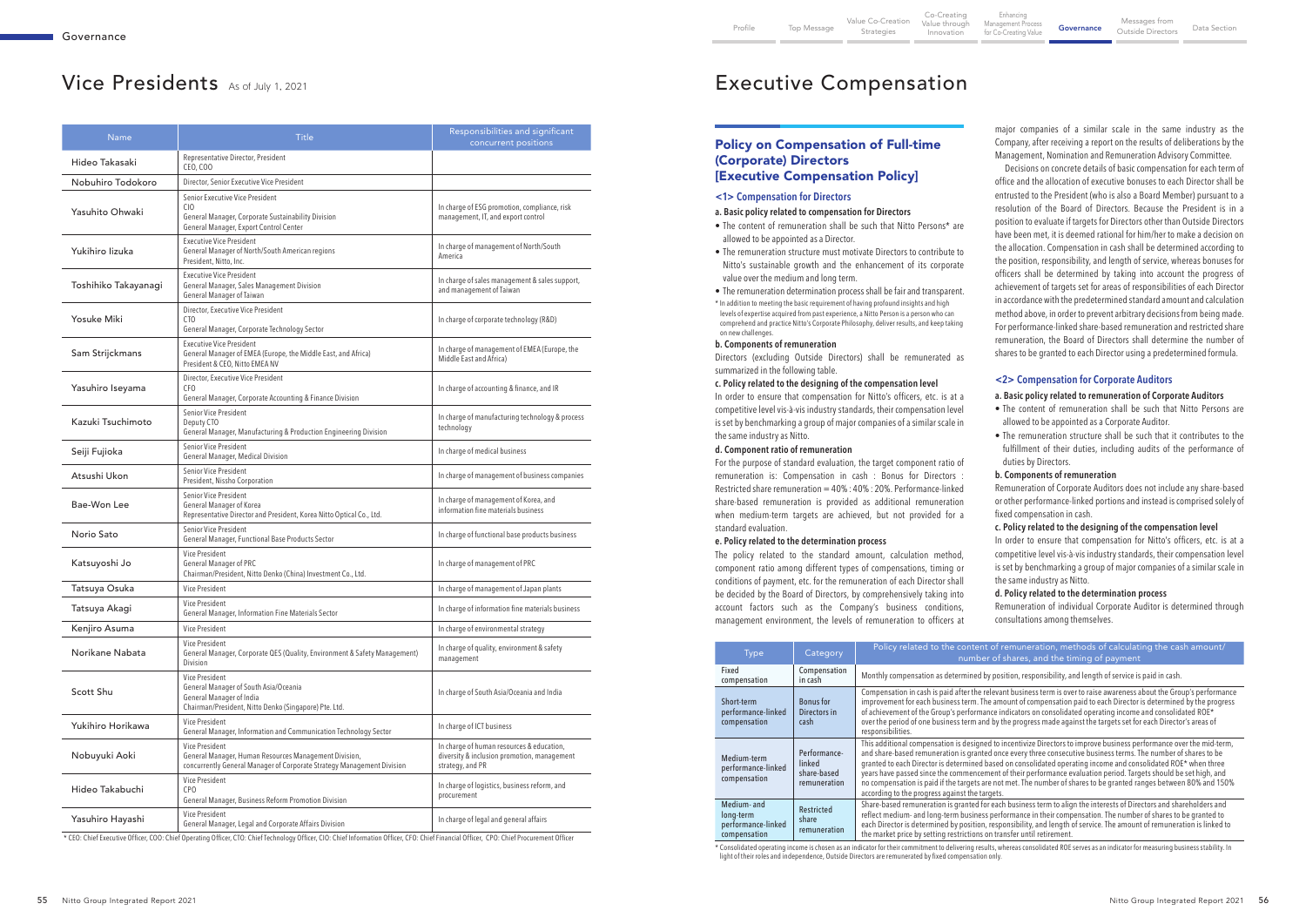## Policy on Compensation of Full-time (Corporate) Directors [Executive Compensation Policy]

#### **<1> Compensation for Directors**

#### **a. Basic policy related to compensation for Directors**

- The content of remuneration shall be such that Nitto Persons\* are allowed to be appointed as a Director.
- The remuneration structure must motivate Directors to contribute to Nitto's sustainable growth and the enhancement of its corporate value over the medium and long term.
- The remuneration determination process shall be fair and transparent.
- \* In addition to meeting the basic requirement of having profound insights and high levels of expertise acquired from past experience, a Nitto Person is a person who can comprehend and practice Nitto's Corporate Philosophy, deliver results, and keep taking on new challenges.

#### **b. Components of remuneration**

Directors (excluding Outside Directors) shall be remunerated as summarized in the following table.

#### **c. Policy related to the designing of the compensation level**

In order to ensure that compensation for Nitto's officers, etc. is at a competitive level vis-à-vis industry standards, their compensation level is set by benchmarking a group of major companies of a similar scale in the same industry as Nitto.

#### **d. Component ratio of remuneration**

For the purpose of standard evaluation, the target component ratio of remuneration is: Compensation in cash : Bonus for Directors : Restricted share remuneration = 40% : 40% : 20%. Performance-linked share-based remuneration is provided as additional remuneration when medium-term targets are achieved, but not provided for a standard evaluation.

#### **e. Policy related to the determination process**

The policy related to the standard amount, calculation method, component ratio among different types of compensations, timing or conditions of payment, etc. for the remuneration of each Director shall be decided by the Board of Directors, by comprehensively taking into account factors such as the Company's business conditions, management environment, the levels of remuneration to officers at

major companies of a similar scale in the same industry as the Company, after receiving a report on the results of deliberations by the Management, Nomination and Remuneration Advisory Committee.

Decisions on concrete details of basic compensation for each term of office and the allocation of executive bonuses to each Director shall be entrusted to the President (who is also a Board Member) pursuant to a resolution of the Board of Directors. Because the President is in a position to evaluate if targets for Directors other than Outside Directors have been met, it is deemed rational for him/her to make a decision on the allocation. Compensation in cash shall be determined according to the position, responsibility, and length of service, whereas bonuses for officers shall be determined by taking into account the progress of achievement of targets set for areas of responsibilities of each Director in accordance with the predetermined standard amount and calculation method above, in order to prevent arbitrary decisions from being made. For performance-linked share-based remuneration and restricted share remuneration, the Board of Directors shall determine the number of shares to be granted to each Director using a predetermined formula.

#### **<2> Compensation for Corporate Auditors**

#### **a. Basic policy related to remuneration of Corporate Auditors**

- The content of remuneration shall be such that Nitto Persons are allowed to be appointed as a Corporate Auditor.
- The remuneration structure shall be such that it contributes to the fulfillment of their duties, including audits of the performance of duties by Directors.

#### **b. Components of remuneration**

Remuneration of Corporate Auditors does not include any share-based or other performance-linked portions and instead is comprised solely of fixed compensation in cash.

#### **c. Policy related to the designing of the compensation level**

In order to ensure that compensation for Nitto's officers, etc. is at a competitive level vis-à-vis industry standards, their compensation level is set by benchmarking a group of major companies of a similar scale in the same industry as Nitto.

#### **d. Policy related to the determination process**

Remuneration of individual Corporate Auditor is determined through consultations among themselves.

elevant business term is over to raise awareness about the Group's performance incement of compensation paid to each Director is determined by the progress  $\frac{1}{2}$  and  $\frac{1}{2}$  consolidated operating income and consolidated ROE\* od by the progress made against the targets set for each Director's areas of

ed to incentivize Directors to improve business performance over the mid-term, ed once every three consecutive business terms. The number of shares to be based on consolidated operating income and consolidated ROE\* when three ment of their performance evaluation period. Targets should be set high, and re not met. The number of shares to be granted ranges between 80% and 150%

\* Consolidated operating income is chosen as an indicator for their commitment to delivering results, whereas consolidated ROE serves as an indicator for measuring business stability. In light of their roles and independence, Outside Directors are remunerated by fixed compensation only.

| <b>Name</b>          | <b>Title</b>                                                                                                                                       | Responsibilities and significant<br>concurrent positions                                                     |
|----------------------|----------------------------------------------------------------------------------------------------------------------------------------------------|--------------------------------------------------------------------------------------------------------------|
| Hideo Takasaki       | Representative Director, President<br>CEO, COO                                                                                                     |                                                                                                              |
| Nobuhiro Todokoro    | Director, Senior Executive Vice President                                                                                                          |                                                                                                              |
| Yasuhito Ohwaki      | Senior Executive Vice President<br>C <sub>IO</sub><br>General Manager, Corporate Sustainability Division<br>General Manager, Export Control Center | In charge of ESG promotion, compliance, risk<br>management, IT, and export control                           |
| Yukihiro lizuka      | <b>Executive Vice President</b><br>General Manager of North/South American regions<br>President, Nitto, Inc.                                       | In charge of management of North/South<br>America                                                            |
| Toshihiko Takayanagi | <b>Executive Vice President</b><br>General Manager, Sales Management Division<br>General Manager of Taiwan                                         | In charge of sales management & sales support,<br>and management of Taiwan                                   |
| <b>Yosuke Miki</b>   | Director, Executive Vice President<br>CTO<br>General Manager, Corporate Technology Sector                                                          | In charge of corporate technology (R&D)                                                                      |
| Sam Strijckmans      | <b>Executive Vice President</b><br>General Manager of EMEA (Europe, the Middle East, and Africa)<br>President & CEO, Nitto EMEA NV                 | In charge of management of EMEA (Europe, the<br>Middle East and Africa)                                      |
| Yasuhiro Iseyama     | Director, Executive Vice President<br>CF <sub>0</sub><br>General Manager, Corporate Accounting & Finance Division                                  | In charge of accounting & finance, and IR                                                                    |
| Kazuki Tsuchimoto    | Senior Vice President<br>Deputy CTO<br>General Manager, Manufacturing & Production Engineering Division                                            | In charge of manufacturing technology & process<br>technology                                                |
| Seiji Fujioka        | Senior Vice President<br>General Manager, Medical Division                                                                                         | In charge of medical business                                                                                |
| Atsushi Ukon         | Senior Vice President<br>President, Nissho Corporation                                                                                             | In charge of management of business companies                                                                |
| Bae-Won Lee          | Senior Vice President<br>General Manager of Korea<br>Representative Director and President, Korea Nitto Optical Co., Ltd.                          | In charge of management of Korea, and<br>information fine materials business                                 |
| Norio Sato           | Senior Vice President<br>General Manager, Functional Base Products Sector                                                                          | In charge of functional base products business                                                               |
| Katsuyoshi Jo        | Vice President<br><b>General Manager of PRC</b><br>Chairman/President, Nitto Denko (China) Investment Co., Ltd.                                    | In charge of management of PRC                                                                               |
| Tatsuya Osuka        | Vice President                                                                                                                                     | In charge of management of Japan plants                                                                      |
| Tatsuya Akagi        | Vice President<br>General Manager, Information Fine Materials Sector                                                                               | In charge of information fine materials business                                                             |
| Kenjiro Asuma        | Vice President                                                                                                                                     | In charge of environmental strategy                                                                          |
| Norikane Nabata      | Vice President<br>General Manager, Corporate QES (Quality, Environment & Safety Management)<br>Division                                            | In charge of quality, environment & safety<br>management                                                     |
| Scott Shu            | Vice President<br>General Manager of South Asia/Oceania<br>General Manager of India<br>Chairman/President, Nitto Denko (Singapore) Pte. Ltd.       | In charge of South Asia/Oceania and India                                                                    |
| Yukihiro Horikawa    | Vice President<br>General Manager, Information and Communication Technology Sector                                                                 | In charge of ICT business                                                                                    |
| Nobuyuki Aoki        | Vice President<br>General Manager, Human Resources Management Division,<br>concurrently General Manager of Corporate Strategy Management Division  | In charge of human resources & education,<br>diversity & inclusion promotion, management<br>strategy, and PR |
| Hideo Takabuchi      | Vice President<br>CPO<br>General Manager, Business Reform Promotion Division                                                                       | In charge of logistics, business reform, and<br>procurement                                                  |
| Yasuhiro Hayashi     | Vice President<br>General Manager, Legal and Corporate Affairs Division                                                                            | In charge of legal and general affairs                                                                       |

\* CEO: Chief Executive Officer, COO: Chief Operating Officer, CTO: Chief Technology Officer, CIO: Chief Information Officer, CFO: Chief Financial Officer, CPO: Chief Procurement Officer

| <b>Type</b>                                                    | Category                                              | Policy related to the content of remuneration, methods of calculating the cash amount/<br>number of shares, and the timing of payment                                                                                                                                                                                                                                                                                                                                                                                                                                                                                                             |  |
|----------------------------------------------------------------|-------------------------------------------------------|---------------------------------------------------------------------------------------------------------------------------------------------------------------------------------------------------------------------------------------------------------------------------------------------------------------------------------------------------------------------------------------------------------------------------------------------------------------------------------------------------------------------------------------------------------------------------------------------------------------------------------------------------|--|
| Fixed<br>compensation                                          | Compensation<br>in cash                               | Monthly compensation as determined by position, responsibility, and length of service is paid in cash.                                                                                                                                                                                                                                                                                                                                                                                                                                                                                                                                            |  |
| Short-term<br>performance-linked<br>compensation               | <b>Bonus</b> for<br>Directors in<br>cash              | Compensation in cash is paid after the relevant business term is over to raise awareness about the Group's performa<br>improvement for each business term. The amount of compensation paid to each Director is determined by the progr<br>of achievement of the Group's performance indicators on consolidated operating income and consolidated ROE*<br>over the period of one business term and by the progress made against the targets set for each Director's areas of<br>responsibilities.                                                                                                                                                  |  |
| Medium-term<br>performance-linked<br>compensation              | Performance-<br>linked<br>share-based<br>remuneration | This additional compensation is designed to incentivize Directors to improve business performance over the mid-ter<br>and share-based remuneration is granted once every three consecutive business terms. The number of shares to be<br>granted to each Director is determined based on consolidated operating income and consolidated ROE* when three<br>years have passed since the commencement of their performance evaluation period. Targets should be set high, and<br>no compensation is paid if the targets are not met. The number of shares to be granted ranges between 80% and 15<br>according to the progress against the targets. |  |
| Medium- and<br>long-term<br>performance-linked<br>compensation | Restricted<br>share<br>remuneration                   | Share-based remuneration is granted for each business term to align the interests of Directors and shareholders and<br>reflect medium- and long-term business performance in their compensation. The number of shares to be granted to<br>each Director is determined by position, responsibility, and length of service. The amount of remuneration is linked<br>the market price by setting restrictions on transfer until retirement.                                                                                                                                                                                                          |  |

# Vice Presidents As of July 1, 2021 **Executive Compensation**

Enhancing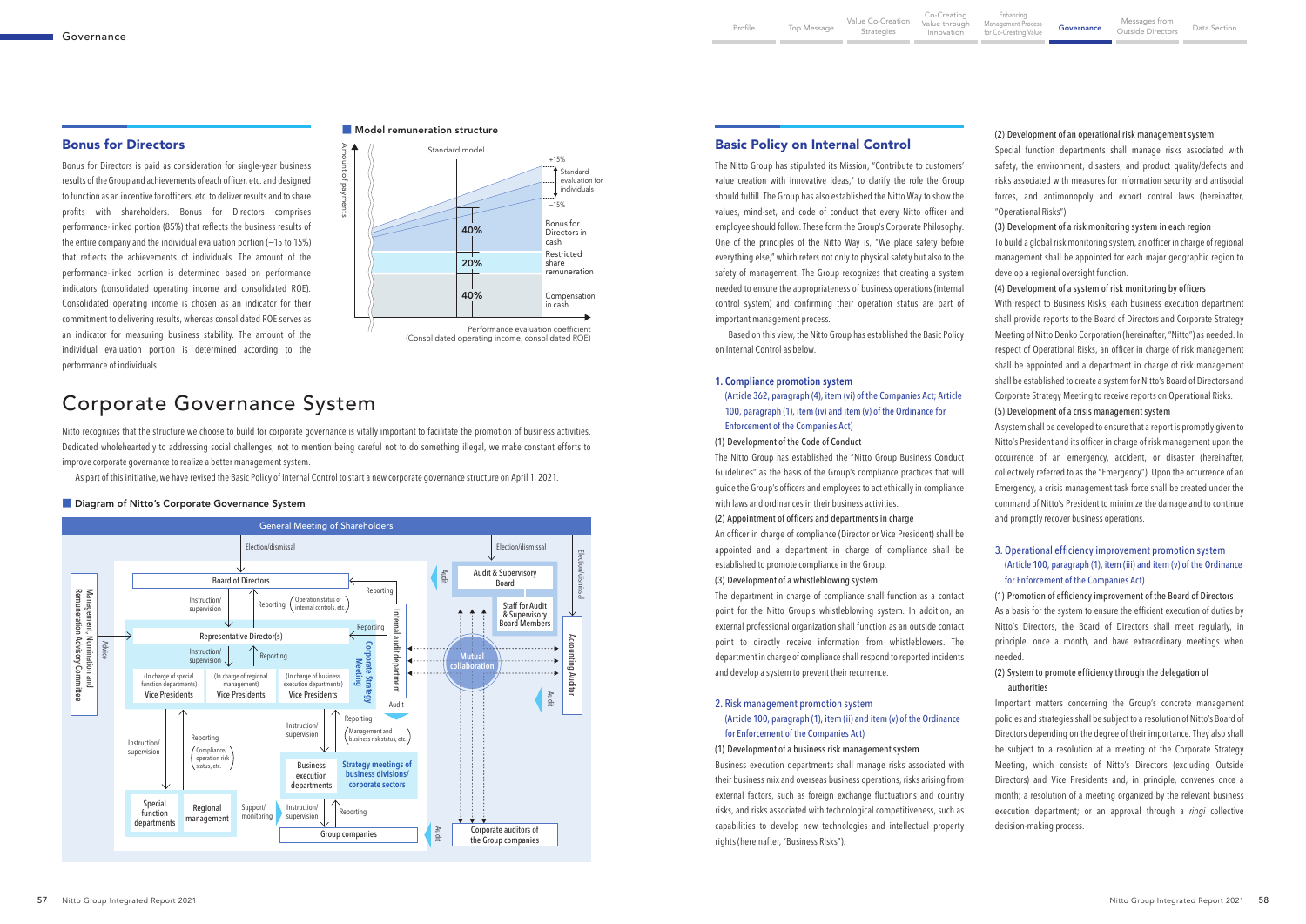Nitto recognizes that the structure we choose to build for corporate governance is vitally important to facilitate the promotion of business activities. Dedicated wholeheartedly to addressing social challenges, not to mention being careful not to do something illegal, we make constant efforts to improve corporate governance to realize a better management system.

As part of this initiative, we have revised the Basic Policy of Internal Control to start a new corporate governance structure on April 1, 2021.

#### ■ Diagram of Nitto's Corporate Governance System

The Nitto Group has stipulated its Mission, "Contribute to customers' value creation with innovative ideas," to clarify the role the Group should fulfill. The Group has also established the Nitto Way to show the values, mind-set, and code of conduct that every Nitto officer and employee should follow. These form the Group's Corporate Philosophy. One of the principles of the Nitto Way is, "We place safety before everything else," which refers not only to physical safety but also to the safety of management. The Group recognizes that creating a system needed to ensure the appropriateness of business operations (internal control system) and confirming their operation status are part of important management process.

Based on this view, the Nitto Group has established the Basic Policy on Internal Control as below.

#### **1. Compliance promotion system**

(Article 362, paragraph (4), item (vi) of the Companies Act; Article 100, paragraph (1), item (iv) and item (v) of the Ordinance for Enforcement of the Companies Act)

## (1) Development of the Code of Conduct

The Nitto Group has established the "Nitto Group Business Conduct Guidelines" as the basis of the Group's compliance practices that will guide the Group's officers and employees to act ethically in compliance with laws and ordinances in their business activities.

#### (2) Appointment of officers and departments in charge

An officer in charge of compliance (Director or Vice President) shall be appointed and a department in charge of compliance shall be established to promote compliance in the Group.

#### (3) Development of a whistleblowing system

The department in charge of compliance shall function as a contact point for the Nitto Group's whistleblowing system. In addition, an external professional organization shall function as an outside contact point to directly receive information from whistleblowers. The department in charge of compliance shall respond to reported incidents and develop a system to prevent their recurrence.

#### 2. Risk management promotion system

(Article 100, paragraph (1), item (ii) and item (v) of the Ordinance for Enforcement of the Companies Act)

#### (1) Development of a business risk management system

Business execution departments shall manage risks associated with their business mix and overseas business operations, risks arising from external factors, such as foreign exchange fluctuations and country risks, and risks associated with technological competitiveness, such as capabilities to develop new technologies and intellectual property rights (hereinafter, "Business Risks").

Bonus for Directors is paid as consideration for single-year business results of the Group and achievements of each officer, etc. and designed to function as an incentive for officers, etc. to deliver results and to share profits with shareholders. Bonus for Directors comprises performance-linked portion (85%) that reflects the business results of the entire company and the individual evaluation portion (-15 to 15%) that reflects the achievements of individuals. The amount of the performance-linked portion is determined based on performance indicators (consolidated operating income and consolidated ROE). Consolidated operating income is chosen as an indicator for their commitment to delivering results, whereas consolidated ROE serves as an indicator for measuring business stability. The amount of the individual evaluation portion is determined according to the performance of individuals.



(2) Development of an operational risk management system

Special function departments shall manage risks associated with safety, the environment, disasters, and product quality/defects and risks associated with measures for information security and antisocial forces, and antimonopoly and export control laws (hereinafter, "Operational Risks").

(3) Development of a risk monitoring system in each region

To build a global risk monitoring system, an officer in charge of regional management shall be appointed for each major geographic region to develop a regional oversight function.

(4) Development of a system of risk monitoring by officers

With respect to Business Risks, each business execution department shall provide reports to the Board of Directors and Corporate Strategy Meeting of Nitto Denko Corporation (hereinafter, "Nitto") as needed. In respect of Operational Risks, an officer in charge of risk management shall be appointed and a department in charge of risk management shall be established to create a system for Nitto's Board of Directors and Corporate Strategy Meeting to receive reports on Operational Risks.

(5) Development of a crisis management system

A system shall be developed to ensure that a report is promptly given to Nitto's President and its officer in charge of risk management upon the occurrence of an emergency, accident, or disaster (hereinafter, collectively referred to as the "Emergency"). Upon the occurrence of an Emergency, a crisis management task force shall be created under the command of Nitto's President to minimize the damage and to continue and promptly recover business operations.

### 3. Operational efficiency improvement promotion system (Article 100, paragraph (1), item (iii) and item (v) of the Ordinance for Enforcement of the Companies Act)

(1) Promotion of efficiency improvement of the Board of Directors As a basis for the system to ensure the efficient execution of duties by Nitto's Directors, the Board of Directors shall meet regularly, in principle, once a month, and have extraordinary meetings when needed.

### (2) System to promote efficiency through the delegation of authorities

Important matters concerning the Group's concrete management policies and strategies shall be subject to a resolution of Nitto's Board of Directors depending on the degree of their importance. They also shall be subject to a resolution at a meeting of the Corporate Strategy Meeting, which consists of Nitto's Directors (excluding Outside Directors) and Vice Presidents and, in principle, convenes once a month; a resolution of a meeting organized by the relevant business execution department; or an approval through a *ringi* collective decision-making process.



#### ■ Model remuneration structure

# Corporate Governance System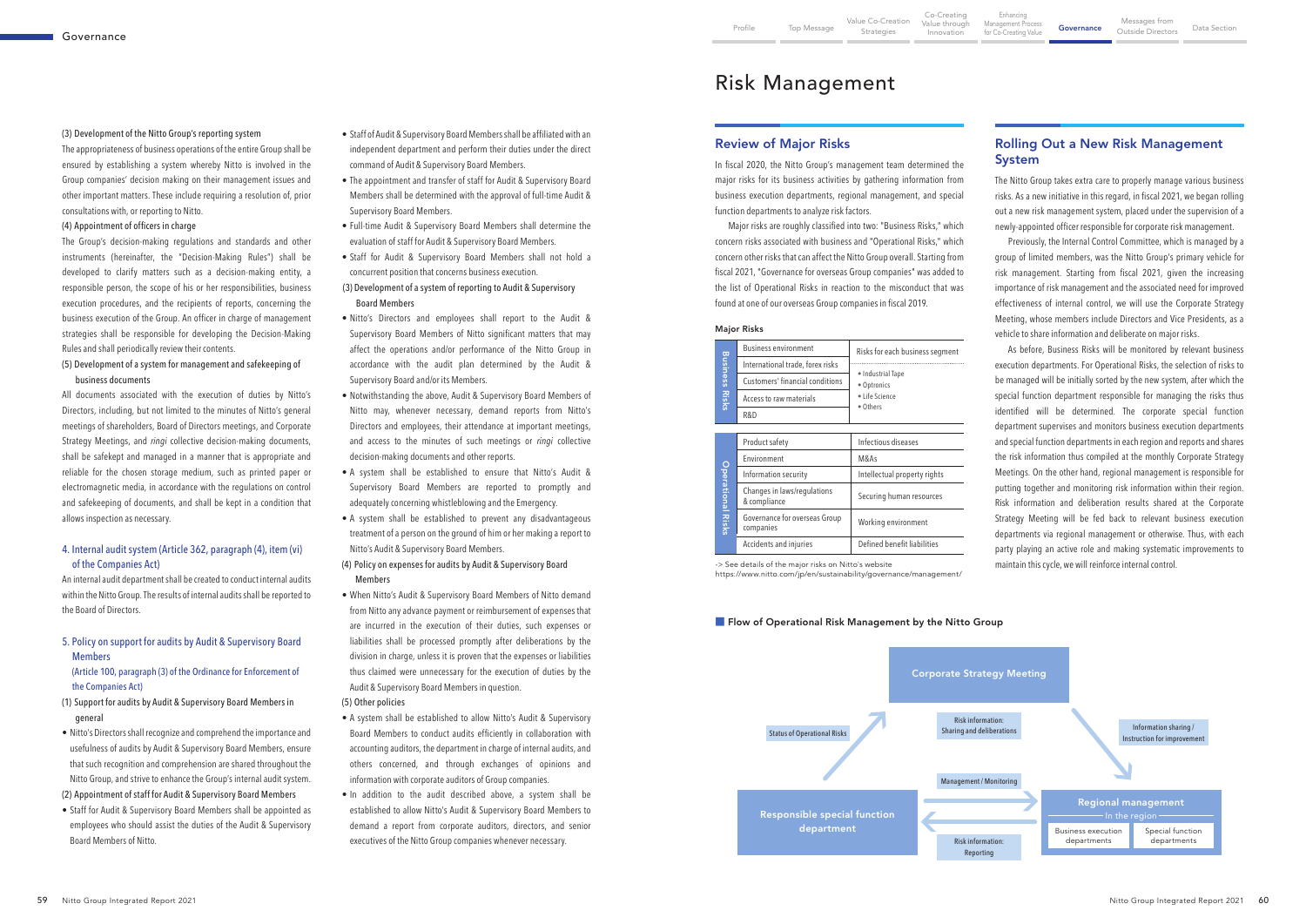-> See details of the major risks on Nitto's website

https://www.nitto.com/jp/en/sustainability/governance/management/

#### **Filow of Operational Risk Management by the Nitto Group**

| <b>Business Risks</b>    | <b>Business environment</b>                 | Risks for each business segment                                |  |  |
|--------------------------|---------------------------------------------|----------------------------------------------------------------|--|--|
|                          | International trade, forex risks            | · Industrial Tape<br>• Optronics<br>• Life Science<br>• Others |  |  |
|                          | Customers' financial conditions             |                                                                |  |  |
|                          | Access to raw materials                     |                                                                |  |  |
|                          | R&D                                         |                                                                |  |  |
|                          |                                             |                                                                |  |  |
| <b>Operational Risks</b> | Product safety                              | Infectious diseases                                            |  |  |
|                          | Environment                                 | M&As                                                           |  |  |
|                          | Information security                        | Intellectual property rights                                   |  |  |
|                          | Changes in laws/regulations<br>& compliance | Securing human resources                                       |  |  |
|                          | Governance for overseas Group<br>companies  | Working environment                                            |  |  |
|                          | Accidents and injuries                      | Defined benefit liabilities                                    |  |  |

#### Major Risks



## Rolling Out a New Risk Management System

The Nitto Group takes extra care to properly manage various business risks. As a new initiative in this regard, in fiscal 2021, we began rolling out a new risk management system, placed under the supervision of a newly-appointed officer responsible for corporate risk management.

Previously, the Internal Control Committee, which is managed by a group of limited members, was the Nitto Group's primary vehicle for risk management. Starting from fiscal 2021, given the increasing importance of risk management and the associated need for improved effectiveness of internal control, we will use the Corporate Strategy Meeting, whose members include Directors and Vice Presidents, as a vehicle to share information and deliberate on major risks.

As before, Business Risks will be monitored by relevant business execution departments. For Operational Risks, the selection of risks to be managed will be initially sorted by the new system, after which the special function department responsible for managing the risks thus identified will be determined. The corporate special function department supervises and monitors business execution departments and special function departments in each region and reports and shares the risk information thus compiled at the monthly Corporate Strategy Meetings. On the other hand, regional management is responsible for putting together and monitoring risk information within their region. Risk information and deliberation results shared at the Corporate Strategy Meeting will be fed back to relevant business execution departments via regional management or otherwise. Thus, with each party playing an active role and making systematic improvements to maintain this cycle, we will reinforce internal control.

- Staff of Audit & Supervisory Board Members shall be affiliated with an independent department and perform their duties under the direct command of Audit & Supervisory Board Members.
- The appointment and transfer of staff for Audit & Supervisory Board Members shall be determined with the approval of full-time Audit & Supervisory Board Members.
- Full-time Audit & Supervisory Board Members shall determine the evaluation of staff for Audit & Supervisory Board Members.
- Staff for Audit & Supervisory Board Members shall not hold a concurrent position that concerns business execution.

#### (3) Development of a system of reporting to Audit & Supervisory Board Members

- Nitto's Directors and employees shall report to the Audit & Supervisory Board Members of Nitto significant matters that may affect the operations and/or performance of the Nitto Group in accordance with the audit plan determined by the Audit & Supervisory Board and/or its Members.
- Notwithstanding the above, Audit & Supervisory Board Members of Nitto may, whenever necessary, demand reports from Nitto's Directors and employees, their attendance at important meetings, and access to the minutes of such meetings or *ringi* collective decision-making documents and other reports.
- A system shall be established to ensure that Nitto's Audit & Supervisory Board Members are reported to promptly and adequately concerning whistleblowing and the Emergency.
- A system shall be established to prevent any disadvantageous treatment of a person on the ground of him or her making a report to Nitto's Audit & Supervisory Board Members.
- (4) Policy on expenses for audits by Audit & Supervisory Board Members
- When Nitto's Audit & Supervisory Board Members of Nitto demand from Nitto any advance payment or reimbursement of expenses that are incurred in the execution of their duties, such expenses or liabilities shall be processed promptly after deliberations by the division in charge, unless it is proven that the expenses or liabilities thus claimed were unnecessary for the execution of duties by the Audit & Supervisory Board Members in question.
- (5) Other policies
- A system shall be established to allow Nitto's Audit & Supervisory Board Members to conduct audits efficiently in collaboration with accounting auditors, the department in charge of internal audits, and others concerned, and through exchanges of opinions and information with corporate auditors of Group companies.
- In addition to the audit described above, a system shall be established to allow Nitto's Audit & Supervisory Board Members to demand a report from corporate auditors, directors, and senior executives of the Nitto Group companies whenever necessary.

### Review of Major Risks

In fiscal 2020, the Nitto Group's management team determined the major risks for its business activities by gathering information from business execution departments, regional management, and special function departments to analyze risk factors.

Major risks are roughly classified into two: "Business Risks," which concern risks associated with business and "Operational Risks," which concern other risks that can affect the Nitto Group overall. Starting from fiscal 2021, "Governance for overseas Group companies" was added to the list of Operational Risks in reaction to the misconduct that was found at one of our overseas Group companies in fiscal 2019.

#### (3) Development of the Nitto Group's reporting system

The appropriateness of business operations of the entire Group shall be ensured by establishing a system whereby Nitto is involved in the Group companies' decision making on their management issues and other important matters. These include requiring a resolution of, prior consultations with, or reporting to Nitto.

#### (4) Appointment of officers in charge

The Group's decision-making regulations and standards and other instruments (hereinafter, the "Decision-Making Rules") shall be developed to clarify matters such as a decision-making entity, a responsible person, the scope of his or her responsibilities, business execution procedures, and the recipients of reports, concerning the business execution of the Group. An officer in charge of management strategies shall be responsible for developing the Decision-Making Rules and shall periodically review their contents.

#### (5) Development of a system for management and safekeeping of business documents

All documents associated with the execution of duties by Nitto's Directors, including, but not limited to the minutes of Nitto's general meetings of shareholders, Board of Directors meetings, and Corporate Strategy Meetings, and *ringi* collective decision-making documents, shall be safekept and managed in a manner that is appropriate and reliable for the chosen storage medium, such as printed paper or electromagnetic media, in accordance with the regulations on control and safekeeping of documents, and shall be kept in a condition that allows inspection as necessary.

#### 4. Internal audit system (Article 362, paragraph (4), item (vi) of the Companies Act)

An internal audit department shall be created to conduct internal audits within the Nitto Group. The results of internal audits shall be reported to the Board of Directors.

5. Policy on support for audits by Audit & Supervisory Board Members

### (Article 100, paragraph (3) of the Ordinance for Enforcement of the Companies Act)

- (1) Support for audits by Audit & Supervisory Board Members in general
- Nitto's Directors shall recognize and comprehend the importance and usefulness of audits by Audit & Supervisory Board Members, ensure that such recognition and comprehension are shared throughout the Nitto Group, and strive to enhance the Group's internal audit system.
- (2) Appointment of staff for Audit & Supervisory Board Members
- Staff for Audit & Supervisory Board Members shall be appointed as employees who should assist the duties of the Audit & Supervisory Board Members of Nitto.

# Risk Management